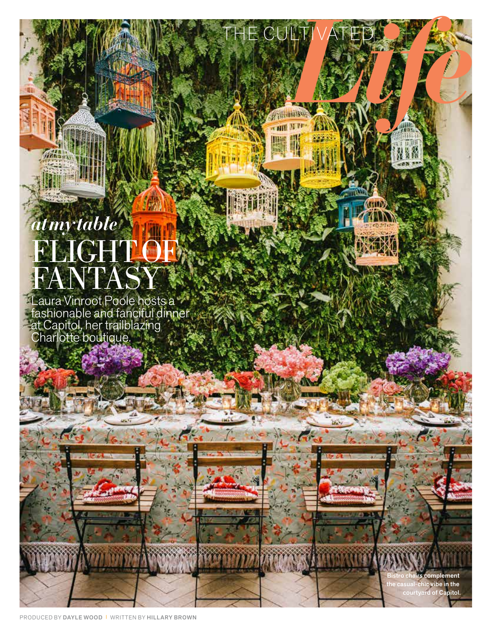## *at my table* FLIGHTOF) FANTASY

Laura Vinroot Poole hosts a fashionable and fanciful dinner at Capitol, her trailblazing Charlotte boutique.



THE CULTIVATED AND

ii. 歸

Bistro chairs complement the casual-chic vibe in the courtyard of Capitol.

PRODUCED BY DAYLE WOOD I WRITTEN BY HILLARY BROWN